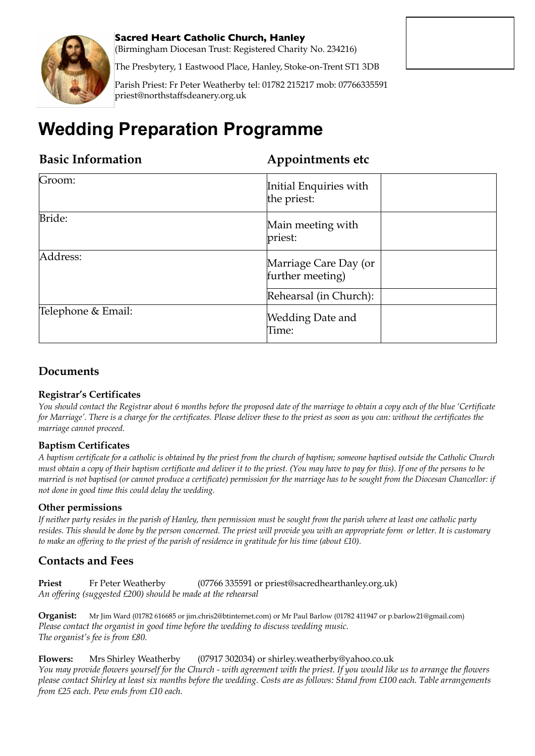

**Sacred Heart Catholic Church, Hanley**

(Birmingham Diocesan Trust: Registered Charity No. 234216)

The Presbytery, 1 Eastwood Place, Hanley, Stoke-on-Trent ST1 3DB

Parish Priest: Fr Peter Weatherby tel: 01782 215217 mob: 07766335591 priest@northstaffsdeanery.org.uk

# **Wedding Preparation Programme**

#### **Basic Information Appointments etc**

| Groom:             | Initial Enquiries with<br>the priest:     |  |
|--------------------|-------------------------------------------|--|
| Bride:             | Main meeting with<br>priest:              |  |
| Address:           | Marriage Care Day (or<br>further meeting) |  |
|                    | Rehearsal (in Church):                    |  |
| Telephone & Email: | <b>Wedding Date and</b><br>Time:          |  |

### **Documents**

#### **Registrar's Certificates**

*You should contact the Registrar about 6 months before the proposed date of the marriage to obtain a copy each of the blue 'Certificate for Marriage'. There is a charge for the certificates. Please deliver these to the priest as soon as you can: without the certificates the marriage cannot proceed.* 

#### **Baptism Certificates**

*A baptism certificate for a catholic is obtained by the priest from the church of baptism; someone baptised outside the Catholic Church must obtain a copy of their baptism certificate and deliver it to the priest. (You may have to pay for this). If one of the persons to be married is not baptised (or cannot produce a certificate) permission for the marriage has to be sought from the Diocesan Chancellor: if not done in good time this could delay the wedding.* 

#### **Other permissions**

*If neither party resides in the parish of Hanley, then permission must be sought from the parish where at least one catholic party resides. This should be done by the person concerned. The priest will provide you with an appropriate form or letter. It is customary to make an offering to the priest of the parish of residence in gratitude for his time (about £10).* 

#### **Contacts and Fees**

**Priest** Fr Peter Weatherby (07766 335591 or priest@sacredhearthanley.org.uk) *An offering (suggested £200) should be made at the rehearsal*

**Organist:** Mr Jim Ward (01782 616685 or jim.chris2@btinternet.com) or Mr Paul Barlow (01782 411947 or p.barlow21@gmail.com) *Please contact the organist in good time before the wedding to discuss wedding music. The organist's fee is from £80.*

**Flowers:** Mrs Shirley Weatherby (07917 302034) or shirley.weatherby@yahoo.co.uk *You may provide flowers yourself for the Church - with agreement with the priest. If you would like us to arrange the flowers please contact Shirley at least six months before the wedding. Costs are as follows: Stand from £100 each. Table arrangements from £25 each. Pew ends from £10 each.*